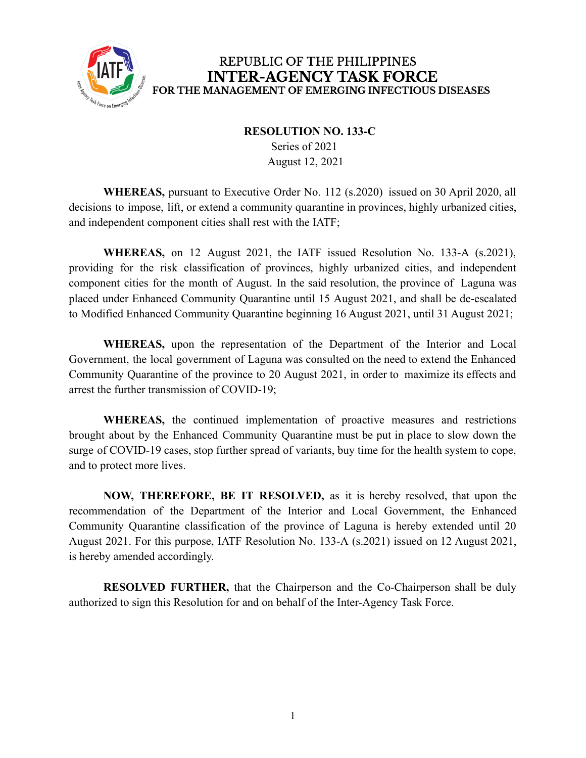

## REPUBLIC OF THE PHILIPPINES **INTER-AGENCY TASK FORCE** FOR THE MANAGEMENT OF EMERGING INFECTIOUS DISEASES

## **RESOLUTION NO. 133-C**

Series of 2021 August 12, 2021

**WHEREAS,** pursuant to Executive Order No. 112 (s.2020) issued on 30 April 2020, all decisions to impose, lift, or extend a community quarantine in provinces, highly urbanized cities, and independent component cities shall rest with the IATF;

**WHEREAS,** on 12 August 2021, the IATF issued Resolution No. 133-A (s.2021), providing for the risk classification of provinces, highly urbanized cities, and independent component cities for the month of August. In the said resolution, the province of Laguna was placed under Enhanced Community Quarantine until 15 August 2021, and shall be de-escalated to Modified Enhanced Community Quarantine beginning 16 August 2021, until 31 August 2021;

**WHEREAS,** upon the representation of the Department of the Interior and Local Government, the local government of Laguna was consulted on the need to extend the Enhanced Community Quarantine of the province to 20 August 2021, in order to maximize its effects and arrest the further transmission of COVID-19;

**WHEREAS,** the continued implementation of proactive measures and restrictions brought about by the Enhanced Community Quarantine must be put in place to slow down the surge of COVID-19 cases, stop further spread of variants, buy time for the health system to cope, and to protect more lives.

**NOW, THEREFORE, BE IT RESOLVED,** as it is hereby resolved, that upon the recommendation of the Department of the Interior and Local Government, the Enhanced Community Quarantine classification of the province of Laguna is hereby extended until 20 August 2021. For this purpose, IATF Resolution No. 133-A (s.2021) issued on 12 August 2021, is hereby amended accordingly.

**RESOLVED FURTHER,** that the Chairperson and the Co-Chairperson shall be duly authorized to sign this Resolution for and on behalf of the Inter-Agency Task Force.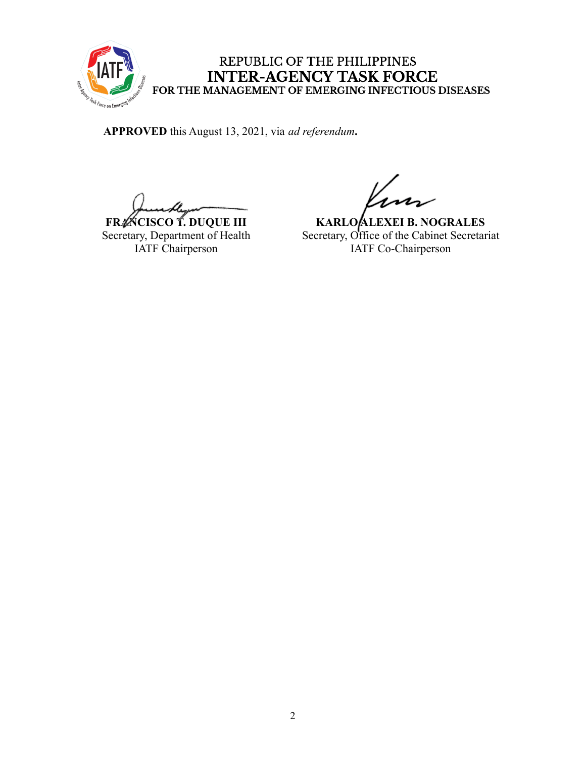

## REPUBLIC OF THE PHILIPPINES INTER-AGENCY TASK FORCE<br>FOR THE MANAGEMENT OF EMERGING INFECTIOUS DISEASES

**APPROVED** this August 13, 2021, via *ad referendum***.**

**FRANCISCO T. DUQUE III** Secretary, Department of Health IATF Chairperson

**KARLO ALEXEI B. NOGRALES** Secretary, Office of the Cabinet Secretariat IATF Co-Chairperson